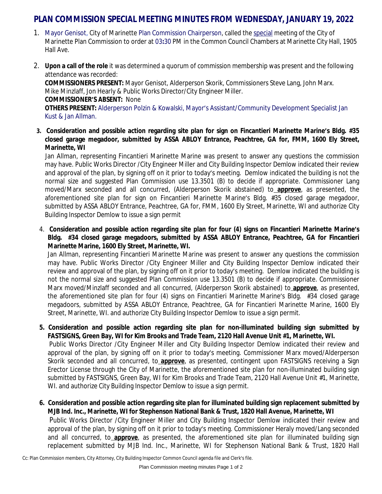## **PLAN COMMISSION SPECIAL MEETING MINUTES FROM WEDNESDAY, JANUARY 19, 2022**

- 1. Mayor Genisot, City of Marinette Plan Commission Chairperson, called the special meeting of the City of Marinette Plan Commission to order at 03**:**30 PM in the Common Council Chambers at Marinette City Hall, 1905 Hall Ave.
- 2. **Upon a call of the role** it was determined a quorum of commission membership was present and the following attendance was recorded:

**COMMISSIONERS PRESENT:** Mayor Genisot, Alderperson Skorik, Commissioners Steve Lang, John Marx. Mike Minzlaff, Jon Hearly & Public Works Director/City Engineer Miller. **COMMISSIONER'S ABSENT:** None **OTHERS PRESENT:** Alderperson Polzin & Kowalski, Mayor's Assistant/Community Development Specialist Jan Kust & Jan Allman.

3. Consideration and possible action regarding site plan for sign on Fincantieri Marinette Marine's Bldg. #35 **closed garage megadoor, submitted by ASSA ABLOY Entrance, Peachtree, GA for, FMM, 1600 Ely Street, Marinette, WI** 

Jan Allman, representing Fincantieri Marinette Marine was present to answer any questions the commission may have. Public Works Director /City Engineer Miller and City Building Inspector Demlow indicated their review and approval of the plan, by signing off on it prior to today's meeting. Demlow indicated the building is not the normal size and suggested Plan Commission use 13.3501 (B) to decide if appropriate. Commissioner Lang moved/Marx seconded and all concurred, (Alderperson Skorik abstained) to **approve**, as presented, the aforementioned site plan for sign on Fincantieri Marinette Marine's Bldg. #35 closed garage megadoor, submitted by ASSA ABLOY Entrance, Peachtree, GA for, FMM, 1600 Ely Street, Marinette, WI and authorize City Building Inspector Demlow to issue a sign permit

4. Consideration and possible action regarding site plan for four (4) signs on Fincantieri Marinette Marine's **Bldg. #34 closed garage megadoors, submitted by ASSA ABLOY Entrance, Peachtree, GA for Fincantieri Marinette Marine, 1600 Ely Street, Marinette, WI.**

Jan Allman, representing Fincantieri Marinette Marine was present to answer any questions the commission may have. Public Works Director /City Engineer Miller and City Building Inspector Demlow indicated their review and approval of the plan, by signing off on it prior to today's meeting. Demlow indicated the building is not the normal size and suggested Plan Commission use 13.3501 (B) to decide if appropriate. Commissioner Marx moved/Minzlaff seconded and all concurred, (Alderperson Skorik abstained) to **approve**, as presented, the aforementioned site plan for four (4) signs on Fincantieri Marinette Marine's Bldg. #34 closed garage megadoors, submitted by ASSA ABLOY Entrance, Peachtree, GA for Fincantieri Marinette Marine, 1600 Ely Street, Marinette, WI. and authorize City Building Inspector Demlow to issue a sign permit.

**5. Consideration and possible action regarding site plan for non-illuminated building sign submitted by FASTSIGNS, Green Bay, WI for Kim Brooks and Trade Team, 2120 Hall Avenue Unit #1, Marinette, WI.**

Public Works Director /City Engineer Miller and City Building Inspector Demlow indicated their review and approval of the plan, by signing off on it prior to today's meeting. Commissioner Marx moved/Alderperson Skorik seconded and all concurred, to **approve**, as presented, contingent upon FASTSIGNS receiving a Sign Erector License through the City of Marinette, the aforementioned site plan for non-illuminated building sign submitted by FASTSIGNS, Green Bay, WI for Kim Brooks and Trade Team, 2120 Hall Avenue Unit #1, Marinette, WI. and authorize City Building Inspector Demlow to issue a sign permit.

**6. Consideration and possible action regarding site plan for illuminated building sign replacement submitted by MJB Ind. Inc., Marinette, WI for Stephenson National Bank & Trust, 1820 Hall Avenue, Marinette, WI** Public Works Director /City Engineer Miller and City Building Inspector Demlow indicated their review and approval of the plan, by signing off on it prior to today's meeting. Commissioner Heraly moved/Lang seconded and all concurred, to **approve**, as presented, the aforementioned site plan for illuminated building sign replacement submitted by MJB Ind. Inc., Marinette, WI for Stephenson National Bank & Trust, 1820 Hall

Cc: Plan Commission members, City Attorney, City Building Inspector Common Council agenda file and Clerk's file.